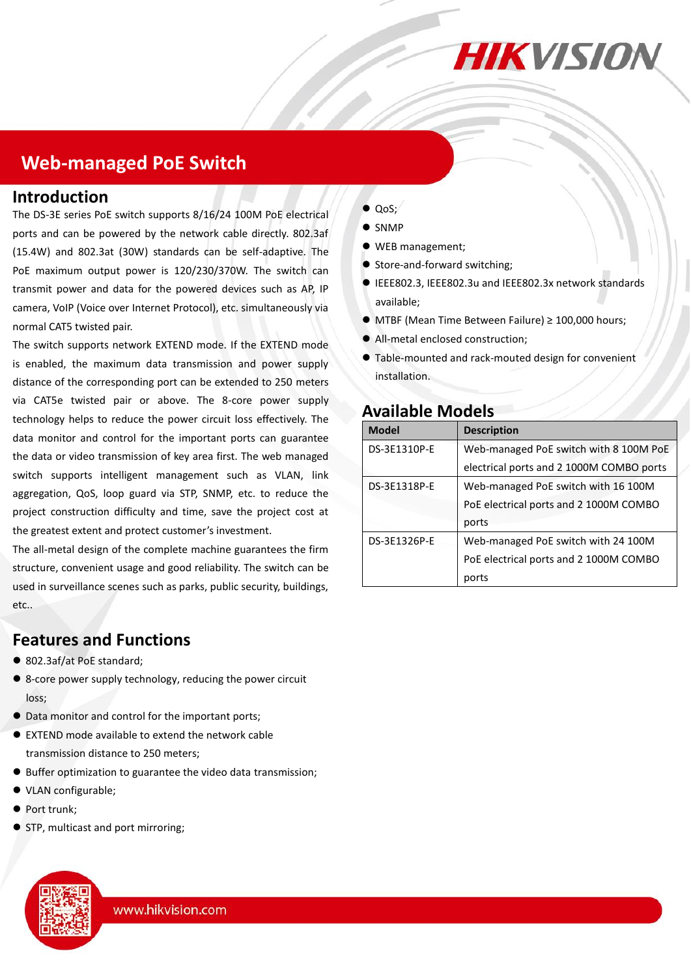

## **Web-managed PoE Switch**

#### **Introduction**

The DS-3E series PoE switch supports 8/16/24 100M PoE electrical ports and can be powered by the network cable directly. 802.3af (15.4W) and 802.3at (30W) standards can be self-adaptive. The PoE maximum output power is 120/230/370W. The switch can transmit power and data for the powered devices such as AP, IP camera, VoIP (Voice over Internet Protocol), etc. simultaneously via normal CAT5 twisted pair.

The switch supports network EXTEND mode. If the EXTEND mode is enabled, the maximum data transmission and power supply distance of the corresponding port can be extended to 250 meters via CAT5e twisted pair or above. The 8-core power supply technology helps to reduce the power circuit loss effectively. The data monitor and control for the important ports can guarantee the data or video transmission of key area first. The web managed switch supports intelligent management such as VLAN, link aggregation, QoS, loop guard via STP, SNMP, etc. to reduce the project construction difficulty and time, save the project cost at the greatest extent and protect customer's investment.

The all-metal design of the complete machine guarantees the firm structure, convenient usage and good reliability. The switch can be used in surveillance scenes such as parks, public security, buildings, etc..

### **Features and Functions**

- 802.3af/at PoE standard;
- 8-core power supply technology, reducing the power circuit loss;
- $\bullet$  Data monitor and control for the important ports;
- EXTEND mode available to extend the network cable transmission distance to 250 meters;
- Buffer optimization to guarantee the video data transmission;
- VLAN configurable;
- Port trunk;
- STP, multicast and port mirroring;
- $\bullet$  QoS;
- $\bullet$  SNMP
- WEB management;
- Store-and-forward switching;
- IEEE802.3, IEEE802.3u and IEEE802.3x network standards available;
- MTBF (Mean Time Between Failure) ≥ 100,000 hours;
- All-metal enclosed construction;
- Table-mounted and rack-mouted design for convenient installation.

### **Available Models**

| <b>Model</b> | <b>Description</b>                       |
|--------------|------------------------------------------|
| DS-3E1310P-E | Web-managed PoE switch with 8 100M PoE   |
|              | electrical ports and 2 1000M COMBO ports |
| DS-3E1318P-E | Web-managed PoE switch with 16 100M      |
|              | PoE electrical ports and 2 1000M COMBO   |
|              | ports                                    |
| DS-3E1326P-E | Web-managed PoE switch with 24 100M      |
|              | PoE electrical ports and 2 1000M COMBO   |
|              | ports                                    |

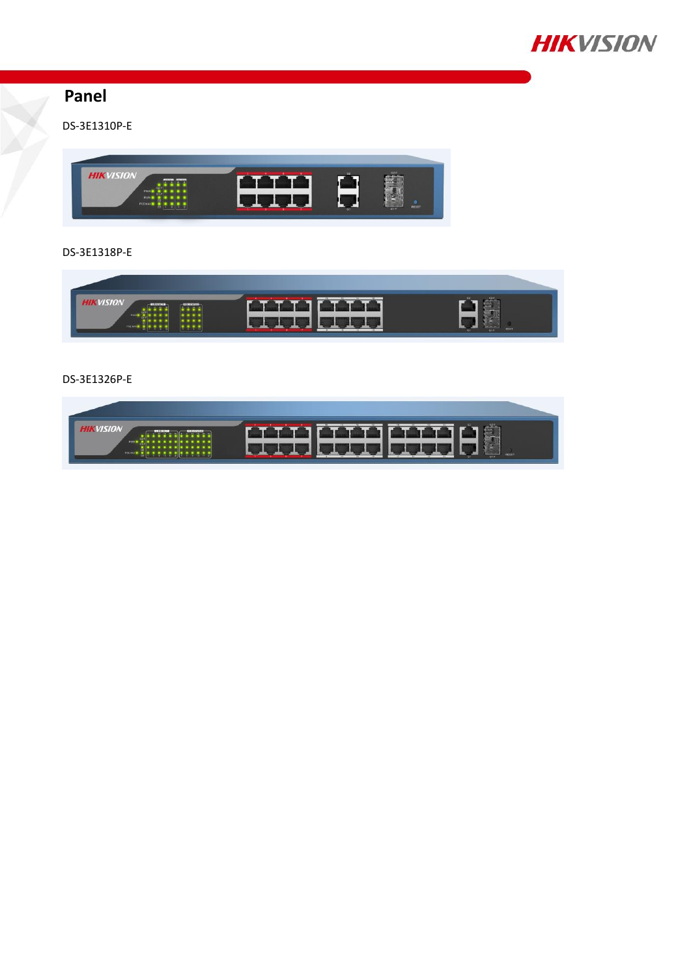

## **Panel**

DS-3E1310P-E



### DS-3E1318P-E



#### DS-3E1326P-E

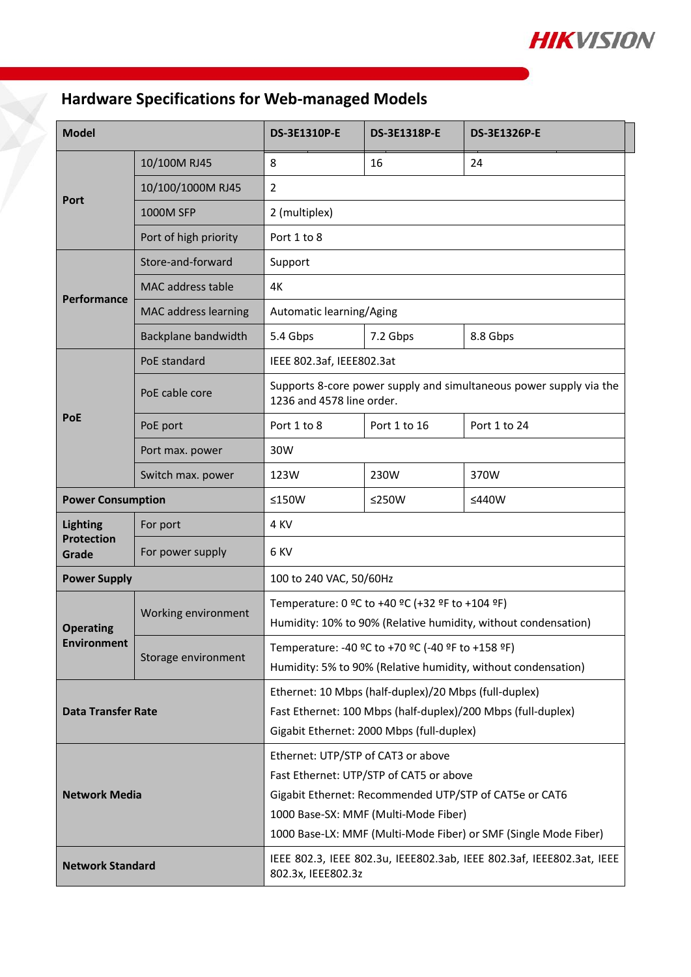

# **Hardware Specifications for Web-managed Models**

| <b>Model</b>                                  |                          | <b>DS-3E1310P-E</b>                                                                                                | <b>DS-3E1318P-E</b> | <b>DS-3E1326P-E</b> |  |
|-----------------------------------------------|--------------------------|--------------------------------------------------------------------------------------------------------------------|---------------------|---------------------|--|
| Port                                          | 10/100M RJ45             | 8                                                                                                                  | 16                  | 24                  |  |
|                                               | 10/100/1000M RJ45        | 2                                                                                                                  |                     |                     |  |
|                                               | <b>1000M SFP</b>         | 2 (multiplex)                                                                                                      |                     |                     |  |
|                                               | Port of high priority    | Port 1 to 8                                                                                                        |                     |                     |  |
| Performance                                   | Store-and-forward        | Support                                                                                                            |                     |                     |  |
|                                               | <b>MAC</b> address table | 4K                                                                                                                 |                     |                     |  |
|                                               | MAC address learning     | Automatic learning/Aging                                                                                           |                     |                     |  |
|                                               | Backplane bandwidth      | 5.4 Gbps                                                                                                           | 7.2 Gbps            | 8.8 Gbps            |  |
|                                               | PoE standard             | IEEE 802.3af, IEEE802.3at                                                                                          |                     |                     |  |
|                                               | PoE cable core           | Supports 8-core power supply and simultaneous power supply via the<br>1236 and 4578 line order.                    |                     |                     |  |
| PoE                                           | PoE port                 | Port 1 to 8                                                                                                        | Port 1 to 16        | Port 1 to 24        |  |
|                                               | Port max. power          | 30W                                                                                                                |                     |                     |  |
|                                               | Switch max. power        | 123W                                                                                                               | 230W                | 370W                |  |
| <b>Power Consumption</b>                      |                          | ≤150W                                                                                                              | ≤250W               | ≤440W               |  |
| <b>Lighting</b><br><b>Protection</b><br>Grade | For port                 | 4 KV                                                                                                               |                     |                     |  |
|                                               | For power supply         | 6 KV                                                                                                               |                     |                     |  |
| <b>Power Supply</b>                           |                          | 100 to 240 VAC, 50/60Hz                                                                                            |                     |                     |  |
| <b>Operating</b><br><b>Environment</b>        | Working environment      | Temperature: 0 °C to +40 °C (+32 °F to +104 °F)<br>Humidity: 10% to 90% (Relative humidity, without condensation)  |                     |                     |  |
|                                               | Storage environment      | Temperature: -40 °C to +70 °C (-40 °F to +158 °F)<br>Humidity: 5% to 90% (Relative humidity, without condensation) |                     |                     |  |
| <b>Data Transfer Rate</b>                     |                          | Ethernet: 10 Mbps (half-duplex)/20 Mbps (full-duplex)                                                              |                     |                     |  |
|                                               |                          | Fast Ethernet: 100 Mbps (half-duplex)/200 Mbps (full-duplex)<br>Gigabit Ethernet: 2000 Mbps (full-duplex)          |                     |                     |  |
| <b>Network Media</b>                          |                          | Ethernet: UTP/STP of CAT3 or above                                                                                 |                     |                     |  |
|                                               |                          | Fast Ethernet: UTP/STP of CAT5 or above                                                                            |                     |                     |  |
|                                               |                          | Gigabit Ethernet: Recommended UTP/STP of CAT5e or CAT6                                                             |                     |                     |  |
|                                               |                          | 1000 Base-SX: MMF (Multi-Mode Fiber)                                                                               |                     |                     |  |
|                                               |                          | 1000 Base-LX: MMF (Multi-Mode Fiber) or SMF (Single Mode Fiber)                                                    |                     |                     |  |
| <b>Network Standard</b>                       |                          | IEEE 802.3, IEEE 802.3u, IEEE802.3ab, IEEE 802.3af, IEEE802.3at, IEEE<br>802.3x, IEEE802.3z                        |                     |                     |  |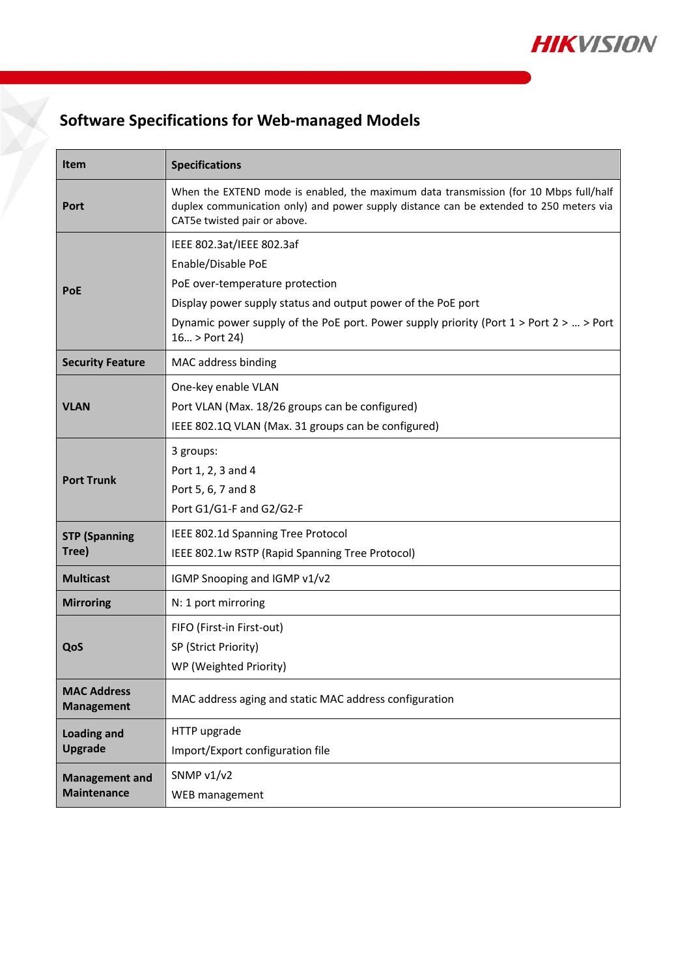

## **Software Specifications for Web-managed Models**

| <b>Item</b>                                 | <b>Specifications</b>                                                                                                                                                                                                                                               |  |  |
|---------------------------------------------|---------------------------------------------------------------------------------------------------------------------------------------------------------------------------------------------------------------------------------------------------------------------|--|--|
| Port                                        | When the EXTEND mode is enabled, the maximum data transmission (for 10 Mbps full/half<br>duplex communication only) and power supply distance can be extended to 250 meters via<br>CAT5e twisted pair or above.                                                     |  |  |
| <b>PoE</b>                                  | IEEE 802.3at/IEEE 802.3af<br>Enable/Disable PoE<br>PoE over-temperature protection<br>Display power supply status and output power of the PoE port<br>Dynamic power supply of the PoE port. Power supply priority (Port $1 >$ Port $2 >  >$ Port<br>$16$ > Port 24) |  |  |
| <b>Security Feature</b>                     | MAC address binding                                                                                                                                                                                                                                                 |  |  |
| <b>VLAN</b>                                 | One-key enable VLAN<br>Port VLAN (Max. 18/26 groups can be configured)<br>IEEE 802.1Q VLAN (Max. 31 groups can be configured)                                                                                                                                       |  |  |
| <b>Port Trunk</b>                           | 3 groups:<br>Port 1, 2, 3 and 4<br>Port 5, 6, 7 and 8<br>Port G1/G1-F and G2/G2-F                                                                                                                                                                                   |  |  |
| <b>STP (Spanning</b><br>Tree)               | IEEE 802.1d Spanning Tree Protocol<br>IEEE 802.1w RSTP (Rapid Spanning Tree Protocol)                                                                                                                                                                               |  |  |
| <b>Multicast</b>                            | IGMP Snooping and IGMP v1/v2                                                                                                                                                                                                                                        |  |  |
| <b>Mirroring</b>                            | N: 1 port mirroring                                                                                                                                                                                                                                                 |  |  |
| QoS                                         | FIFO (First-in First-out)<br>SP (Strict Priority)<br>WP (Weighted Priority)                                                                                                                                                                                         |  |  |
| <b>MAC Address</b><br><b>Management</b>     | MAC address aging and static MAC address configuration                                                                                                                                                                                                              |  |  |
| <b>Loading and</b><br><b>Upgrade</b>        | HTTP upgrade<br>Import/Export configuration file                                                                                                                                                                                                                    |  |  |
| <b>Management and</b><br><b>Maintenance</b> | SNMP v1/v2<br>WEB management                                                                                                                                                                                                                                        |  |  |